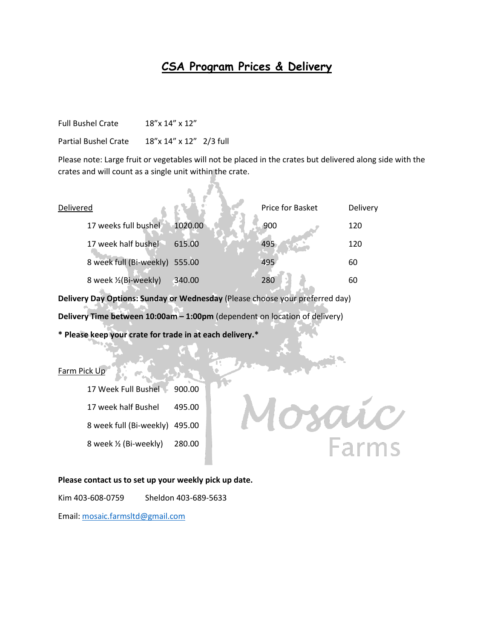## **CSA Program Prices & Delivery**

Full Bushel Crate 18"x 14" x 12"

Partial Bushel Crate 18"x 14" x 12" 2/3 full

Please note: Large fruit or vegetables will not be placed in the crates but delivered along side with the crates and will count as a single unit within the crate.

| Delivered               |         | Price for Basket | Delivery |
|-------------------------|---------|------------------|----------|
| 17 weeks full bushel    | 1020.00 | 900              | 120      |
| 17 week half bushel     | 615.00  | 495              | 120      |
| 8 week full (Bi-weekly) | 555.00  | 495              | 60       |
| 8 week 1/2 (Bi-weekly)  | 340.00  | 280              | 60       |
|                         |         |                  |          |

**Delivery Day Options: Sunday or Wednesday** (Please choose your preferred day)

**Delivery Time between 10:00am – 1:00pm** (dependent on location of delivery)

**\* Please keep your crate for trade in at each delivery.\***

## Farm Pick Up

17 Week Full Bushel 900.00 17 week half Bushel 495.00 8 week full (Bi-weekly) 495.00 8 week ½ (Bi-weekly) 280.00



## **Please contact us to set up your weekly pick up date.**

Kim 403-608-0759 Sheldon 403-689-5633

Email: [mosaic.farmsltd@gmail.com](mailto:mosaic.farmsltd@gmail.com)